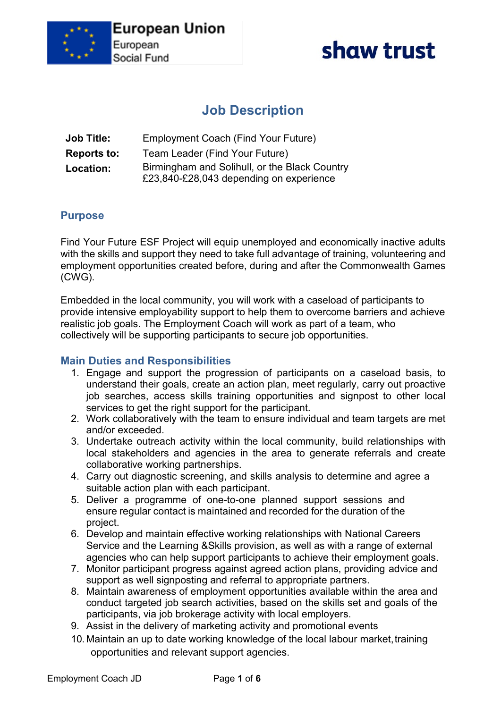

# shaw trust

# **Job Description**

| <b>Job Title:</b>  | Employment Coach (Find Your Future)                                                      |
|--------------------|------------------------------------------------------------------------------------------|
| <b>Reports to:</b> | Team Leader (Find Your Future)                                                           |
| Location:          | Birmingham and Solihull, or the Black Country<br>£23,840-£28,043 depending on experience |

# **Purpose**

Find Your Future ESF Project will equip unemployed and economically inactive adults with the skills and support they need to take full advantage of training, volunteering and employment opportunities created before, during and after the Commonwealth Games (CWG).

Embedded in the local community, you will work with a caseload of participants to provide intensive employability support to help them to overcome barriers and achieve realistic job goals. The Employment Coach will work as part of a team, who collectively will be supporting participants to secure job opportunities.

# **Main Duties and Responsibilities**

- 1. Engage and support the progression of participants on a caseload basis, to understand their goals, create an action plan, meet regularly, carry out proactive job searches, access skills training opportunities and signpost to other local services to get the right support for the participant.
- 2. Work collaboratively with the team to ensure individual and team targets are met and/or exceeded.
- 3. Undertake outreach activity within the local community, build relationships with local stakeholders and agencies in the area to generate referrals and create collaborative working partnerships.
- 4. Carry out diagnostic screening, and skills analysis to determine and agree a suitable action plan with each participant.
- 5. Deliver a programme of one-to-one planned support sessions and ensure regular contact is maintained and recorded for the duration of the project.
- 6. Develop and maintain effective working relationships with National Careers Service and the Learning &Skills provision, as well as with a range of external agencies who can help support participants to achieve their employment goals.
- 7. Monitor participant progress against agreed action plans, providing advice and support as well signposting and referral to appropriate partners.
- 8. Maintain awareness of employment opportunities available within the area and conduct targeted job search activities, based on the skills set and goals of the participants, via job brokerage activity with local employers.
- 9. Assist in the delivery of marketing activity and promotional events
- 10. Maintain an up to date working knowledge of the local labour market, training opportunities and relevant support agencies.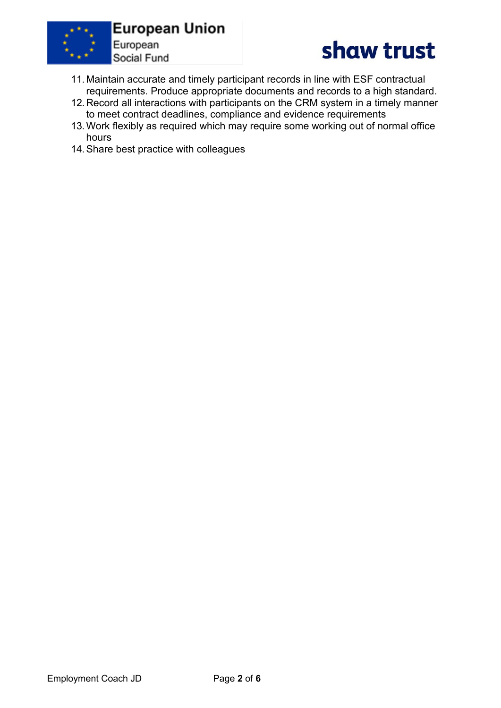



- 11. Maintain accurate and timely participant records in line with ESF contractual requirements. Produce appropriate documents and records to a high standard.
- 12.Record all interactions with participants on the CRM system in a timely manner to meet contract deadlines, compliance and evidence requirements
- 13.Work flexibly as required which may require some working out of normal office hours
- 14.Share best practice with colleagues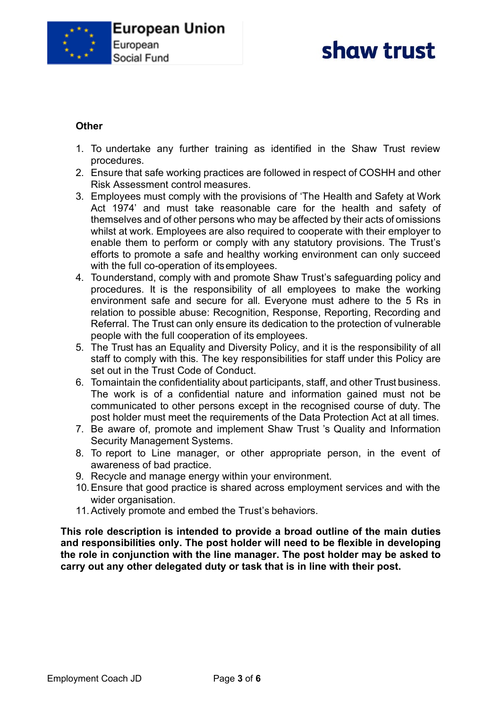

# shaw trust

# **Other**

- 1. To undertake any further training as identified in the Shaw Trust review procedures.
- 2. Ensure that safe working practices are followed in respect of COSHH and other Risk Assessment control measures.
- 3. Employees must comply with the provisions of 'The Health and Safety at Work Act 1974' and must take reasonable care for the health and safety of themselves and of other persons who may be affected by their acts of omissions whilst at work. Employees are also required to cooperate with their employer to enable them to perform or comply with any statutory provisions. The Trust's efforts to promote a safe and healthy working environment can only succeed with the full co-operation of itsemployees.
- 4. To understand, comply with and promote Shaw Trust's safeguarding policy and procedures. It is the responsibility of all employees to make the working environment safe and secure for all. Everyone must adhere to the 5 Rs in relation to possible abuse: Recognition, Response, Reporting, Recording and Referral. The Trust can only ensure its dedication to the protection of vulnerable people with the full cooperation of its employees.
- 5. The Trust has an Equality and Diversity Policy, and it is the responsibility of all staff to comply with this. The key responsibilities for staff under this Policy are set out in the Trust Code of Conduct.
- 6. To maintain the confidentiality about participants, staff, and other Trust business. The work is of a confidential nature and information gained must not be communicated to other persons except in the recognised course of duty. The post holder must meet the requirements of the Data Protection Act at all times.
- 7. Be aware of, promote and implement Shaw Trust 's Quality and Information Security Management Systems.
- 8. To report to Line manager, or other appropriate person, in the event of awareness of bad practice.
- 9. Recycle and manage energy within your environment.
- 10.Ensure that good practice is shared across employment services and with the wider organisation.
- 11.Actively promote and embed the Trust's behaviors.

**This role description is intended to provide a broad outline of the main duties and responsibilities only. The post holder will need to be flexible in developing the role in conjunction with the line manager. The post holder may be asked to carry out any other delegated duty or task that is in line with their post.**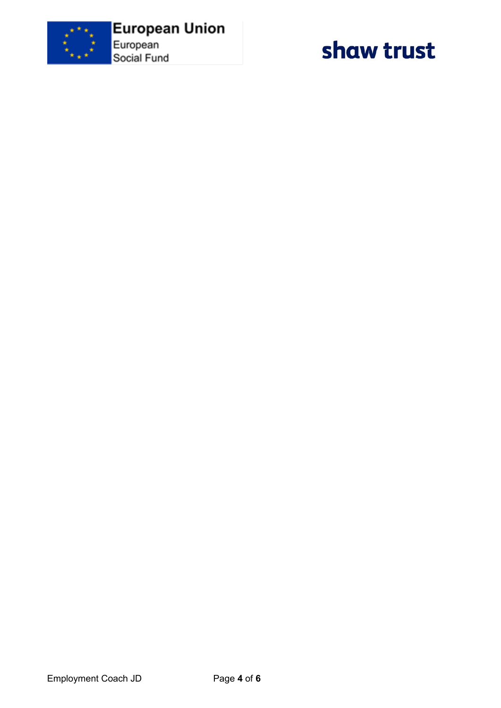

# shaw trust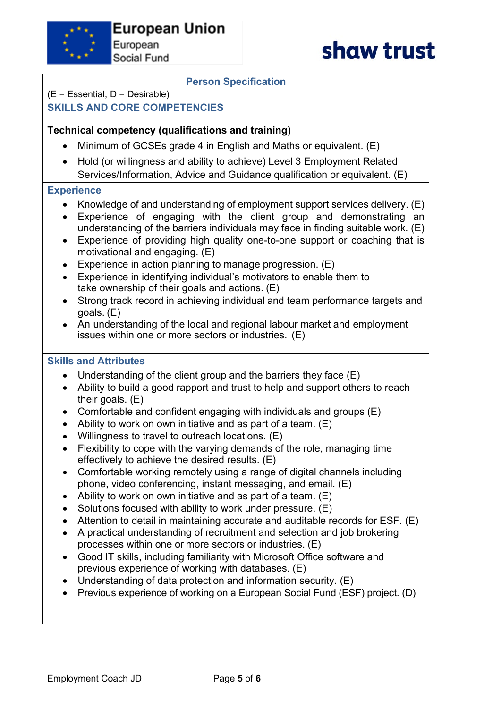

Social Fund

### **Person Specification**

#### $(E = E$ ssential,  $D = D$ esirable)

# **SKILLS AND CORE COMPETENCIES**

# **Technical competency (qualifications and training)**

- Minimum of GCSEs grade 4 in English and Maths or equivalent. (E)
- Hold (or willingness and ability to achieve) Level 3 Employment Related Services/Information, Advice and Guidance qualification or equivalent. (E)

#### **Experience**

- Knowledge of and understanding of employment support services delivery. (E)
- Experience of engaging with the client group and demonstrating an understanding of the barriers individuals may face in finding suitable work. (E)
- Experience of providing high quality one-to-one support or coaching that is motivational and engaging. (E)
- Experience in action planning to manage progression. (E)
- Experience in identifying individual's motivators to enable them to take ownership of their goals and actions. (E)
- Strong track record in achieving individual and team performance targets and goals. (E)
- An understanding of the local and regional labour market and employment issues within one or more sectors or industries. (E)

#### **Skills and Attributes**

- Understanding of the client group and the barriers they face (E)
- Ability to build a good rapport and trust to help and support others to reach their goals. (E)
- Comfortable and confident engaging with individuals and groups (E)
- Ability to work on own initiative and as part of a team.  $(E)$
- Willingness to travel to outreach locations. (E)
- Flexibility to cope with the varying demands of the role, managing time effectively to achieve the desired results. (E)
- Comfortable working remotely using a range of digital channels including phone, video conferencing, instant messaging, and email. (E)
- Ability to work on own initiative and as part of a team.  $(E)$
- Solutions focused with ability to work under pressure. (E)
- Attention to detail in maintaining accurate and auditable records for ESF. (E)
- A practical understanding of recruitment and selection and job brokering processes within one or more sectors or industries. (E)
- Good IT skills, including familiarity with Microsoft Office software and previous experience of working with databases. (E)
- Understanding of data protection and information security. (E)
- Previous experience of working on a European Social Fund (ESF) project. (D)